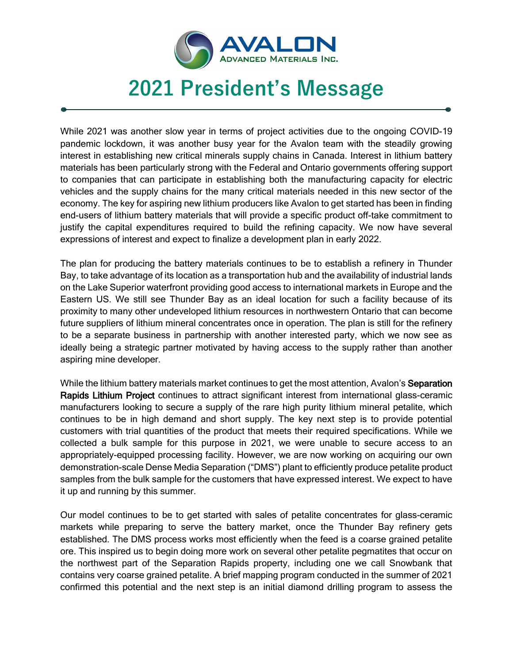

## **2021 President's Message**

 $\overline{\phantom{a}}$ 

While 2021 was another slow year in terms of project activities due to the ongoing COVID-19 pandemic lockdown, it was another busy year for the Avalon team with the steadily growing interest in establishing new critical minerals supply chains in Canada. Interest in lithium battery materials has been particularly strong with the Federal and Ontario governments offering support to companies that can participate in establishing both the manufacturing capacity for electric vehicles and the supply chains for the many critical materials needed in this new sector of the economy. The key for aspiring new lithium producers like Avalon to get started has been in finding end-users of lithium battery materials that will provide a specific product off-take commitment to justify the capital expenditures required to build the refining capacity. We now have several expressions of interest and expect to finalize a development plan in early 2022.

The plan for producing the battery materials continues to be to establish a refinery in Thunder Bay, to take advantage of its location as a transportation hub and the availability of industrial lands on the Lake Superior waterfront providing good access to international markets in Europe and the Eastern US. We still see Thunder Bay as an ideal location for such a facility because of its proximity to many other undeveloped lithium resources in northwestern Ontario that can become future suppliers of lithium mineral concentrates once in operation. The plan is still for the refinery to be a separate business in partnership with another interested party, which we now see as ideally being a strategic partner motivated by having access to the supply rather than another aspiring mine developer.

While the lithium battery materials market continues to get the most attention, Avalon's Separation Rapids Lithium Project continues to attract significant interest from international glass-ceramic manufacturers looking to secure a supply of the rare high purity lithium mineral petalite, which continues to be in high demand and short supply. The key next step is to provide potential customers with trial quantities of the product that meets their required specifications. While we collected a bulk sample for this purpose in 2021, we were unable to secure access to an appropriately-equipped processing facility. However, we are now working on acquiring our own demonstration-scale Dense Media Separation ("DMS") plant to efficiently produce petalite product samples from the bulk sample for the customers that have expressed interest. We expect to have it up and running by this summer.

Our model continues to be to get started with sales of petalite concentrates for glass-ceramic markets while preparing to serve the battery market, once the Thunder Bay refinery gets established. The DMS process works most efficiently when the feed is a coarse grained petalite ore. This inspired us to begin doing more work on several other petalite pegmatites that occur on the northwest part of the Separation Rapids property, including one we call Snowbank that contains very coarse grained petalite. A brief mapping program conducted in the summer of 2021 confirmed this potential and the next step is an initial diamond drilling program to assess the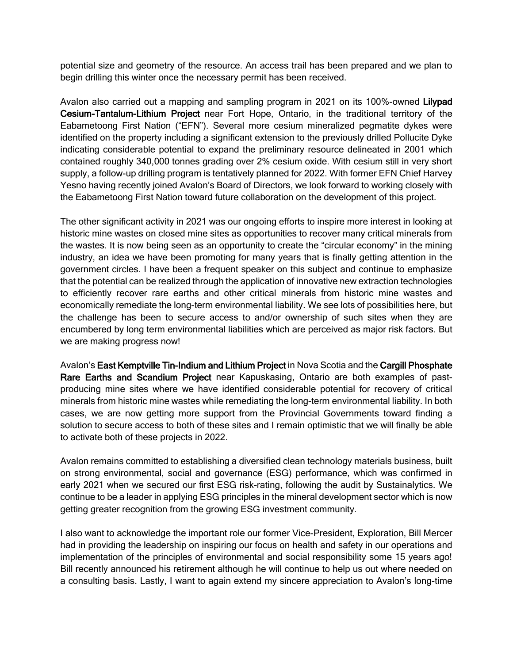potential size and geometry of the resource. An access trail has been prepared and we plan to begin drilling this winter once the necessary permit has been received.

Avalon also carried out a mapping and sampling program in 2021 on its 100%-owned Lilypad Cesium-Tantalum-Lithium Project near Fort Hope, Ontario, in the traditional territory of the Eabametoong First Nation ("EFN"). Several more cesium mineralized pegmatite dykes were identified on the property including a significant extension to the previously drilled Pollucite Dyke indicating considerable potential to expand the preliminary resource delineated in 2001 which contained roughly 340,000 tonnes grading over 2% cesium oxide. With cesium still in very short supply, a follow-up drilling program is tentatively planned for 2022. With former EFN Chief Harvey Yesno having recently joined Avalon's Board of Directors, we look forward to working closely with the Eabametoong First Nation toward future collaboration on the development of this project.

The other significant activity in 2021 was our ongoing efforts to inspire more interest in looking at historic mine wastes on closed mine sites as opportunities to recover many critical minerals from the wastes. It is now being seen as an opportunity to create the "circular economy" in the mining industry, an idea we have been promoting for many years that is finally getting attention in the government circles. I have been a frequent speaker on this subject and continue to emphasize that the potential can be realized through the application of innovative new extraction technologies to efficiently recover rare earths and other critical minerals from historic mine wastes and economically remediate the long-term environmental liability. We see lots of possibilities here, but the challenge has been to secure access to and/or ownership of such sites when they are encumbered by long term environmental liabilities which are perceived as major risk factors. But we are making progress now!

Avalon's East Kemptville Tin-Indium and Lithium Project in Nova Scotia and the Cargill Phosphate Rare Earths and Scandium Project near Kapuskasing, Ontario are both examples of pastproducing mine sites where we have identified considerable potential for recovery of critical minerals from historic mine wastes while remediating the long-term environmental liability. In both cases, we are now getting more support from the Provincial Governments toward finding a solution to secure access to both of these sites and I remain optimistic that we will finally be able to activate both of these projects in 2022.

Avalon remains committed to establishing a diversified clean technology materials business, built on strong environmental, social and governance (ESG) performance, which was confirmed in early 2021 when we secured our first ESG risk-rating, following the audit by Sustainalytics. We continue to be a leader in applying ESG principles in the mineral development sector which is now getting greater recognition from the growing ESG investment community.

I also want to acknowledge the important role our former Vice-President, Exploration, Bill Mercer had in providing the leadership on inspiring our focus on health and safety in our operations and implementation of the principles of environmental and social responsibility some 15 years ago! Bill recently announced his retirement although he will continue to help us out where needed on a consulting basis. Lastly, I want to again extend my sincere appreciation to Avalon's long-time